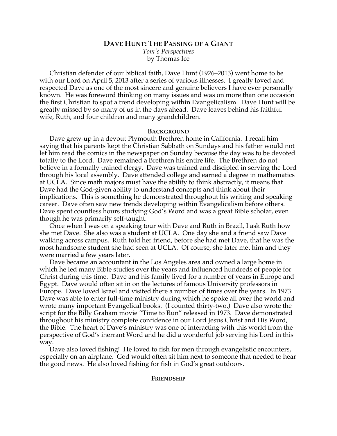# **DAVE HUNT: THE PASSING OF A GIANT**

*Tom's Perspectives* by Thomas Ice

Christian defender of our biblical faith, Dave Hunt (1926–2013) went home to be with our Lord on April 5, 2013 after a series of various illnesses. I greatly loved and respected Dave as one of the most sincere and genuine believers I have ever personally known. He was foreword thinking on many issues and was on more than one occasion the first Christian to spot a trend developing within Evangelicalism. Dave Hunt will be greatly missed by so many of us in the days ahead. Dave leaves behind his faithful wife, Ruth, and four children and many grandchildren.

## **BACKGROUND**

Dave grew-up in a devout Plymouth Brethren home in California. I recall him saying that his parents kept the Christian Sabbath on Sundays and his father would not let him read the comics in the newspaper on Sunday because the day was to be devoted totally to the Lord. Dave remained a Brethren his entire life. The Brethren do not believe in a formally trained clergy. Dave was trained and discipled in serving the Lord through his local assembly. Dave attended college and earned a degree in mathematics at UCLA. Since math majors must have the ability to think abstractly, it means that Dave had the God-given ability to understand concepts and think about their implications. This is something he demonstrated throughout his writing and speaking career. Dave often saw new trends developing within Evangelicalism before others. Dave spent countless hours studying God's Word and was a great Bible scholar, even though he was primarily self-taught.

Once when I was on a speaking tour with Dave and Ruth in Brazil, I ask Ruth how she met Dave. She also was a student at UCLA. One day she and a friend saw Dave walking across campus. Ruth told her friend, before she had met Dave, that he was the most handsome student she had seen at UCLA. Of course, she later met him and they were married a few years later.

Dave became an accountant in the Los Angeles area and owned a large home in which he led many Bible studies over the years and influenced hundreds of people for Christ during this time. Dave and his family lived for a number of years in Europe and Egypt. Dave would often sit in on the lectures of famous University professors in Europe. Dave loved Israel and visited there a number of times over the years. In 1973 Dave was able to enter full-time ministry during which he spoke all over the world and wrote many important Evangelical books. (I counted thirty-two.) Dave also wrote the script for the Billy Graham movie "Time to Run" released in 1973. Dave demonstrated throughout his ministry complete confidence in our Lord Jesus Christ and His Word, the Bible. The heart of Dave's ministry was one of interacting with this world from the perspective of God's inerrant Word and he did a wonderful job serving his Lord in this way.

Dave also loved fishing! He loved to fish for men through evangelistic encounters, especially on an airplane. God would often sit him next to someone that needed to hear the good news. He also loved fishing for fish in God's great outdoors.

## **FRIENDSHIP**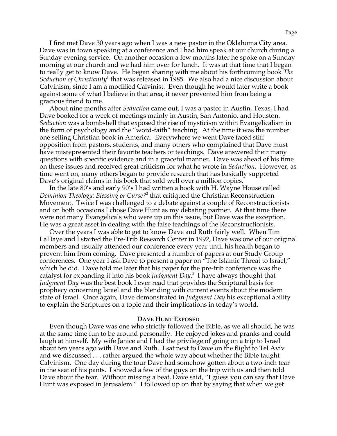I first met Dave 30 years ago when I was a new pastor in the Oklahoma City area. Dave was in town speaking at a conference and I had him speak at our church during a Sunday evening service. On another occasion a few months later he spoke on a Sunday morning at our church and we had him over for lunch. It was at that time that I began to really get to know Dave. He began sharing with me about his forthcoming book *The Seduction of Christianity*<sup>1</sup> that was released in 1985. We also had a nice discussion about Calvinism, since I am a modified Calvinist. Even though he would later write a book against some of what I believe in that area, it never prevented him from being a gracious friend to me.

About nine months after *Seduction* came out, I was a pastor in Austin, Texas, I had Dave booked for a week of meetings mainly in Austin, San Antonio, and Houston. *Seduction* was a bombshell that exposed the rise of mysticism within Evangelicalism in the form of psychology and the "word-faith" teaching. At the time it was the number one selling Christian book in America. Everywhere we went Dave faced stiff opposition from pastors, students, and many others who complained that Dave must have misrepresented their favorite teachers or teachings. Dave answered their many questions with specific evidence and in a graceful manner. Dave was ahead of his time on these issues and received great criticism for what he wrote in *Seduction*. However, as time went on, many others began to provide research that has basically supported Dave's original claims in his book that sold well over a million copies.

In the late 80's and early 90's I had written a book with H. Wayne House called *Dominion Theology: Blessing or Curse?*<sup>2</sup> that critiqued the Christian Reconstruction Movement. Twice I was challenged to a debate against a couple of Reconstructionists and on both occasions I chose Dave Hunt as my debating partner. At that time there were not many Evangelicals who were up on this issue, but Dave was the exception. He was a great asset in dealing with the false teachings of the Reconstructionists.

Over the years I was able to get to know Dave and Ruth fairly well. When Tim LaHaye and I started the Pre-Trib Research Center in 1992, Dave was one of our original members and usually attended our conference every year until his health began to prevent him from coming. Dave presented a number of papers at our Study Group conferences. One year I ask Dave to present a paper on "The Islamic Threat to Israel," which he did. Dave told me later that his paper for the pre-trib conference was the catalyst for expanding it into his book *Judgment Day*. 3 I have always thought that *Judgment Day* was the best book I ever read that provides the Scriptural basis for prophecy concerning Israel and the blending with current events about the modern state of Israel. Once again, Dave demonstrated in *Judgment Day* his exceptional ability to explain the Scriptures on a topic and their implications in today's world.

#### **DAVE HUNT EXPOSED**

Even though Dave was one who strictly followed the Bible, as we all should, he was at the same time fun to be around personally. He enjoyed jokes and pranks and could laugh at himself. My wife Janice and I had the privilege of going on a trip to Israel about ten years ago with Dave and Ruth. I sat next to Dave on the flight to Tel Aviv and we discussed . . . rather argued the whole way about whether the Bible taught Calvinism. One day during the tour Dave had somehow gotten about a two-inch tear in the seat of his pants. I showed a few of the guys on the trip with us and then told Dave about the tear. Without missing a beat, Dave said, "I guess you can say that Dave Hunt was exposed in Jerusalem." I followed up on that by saying that when we get